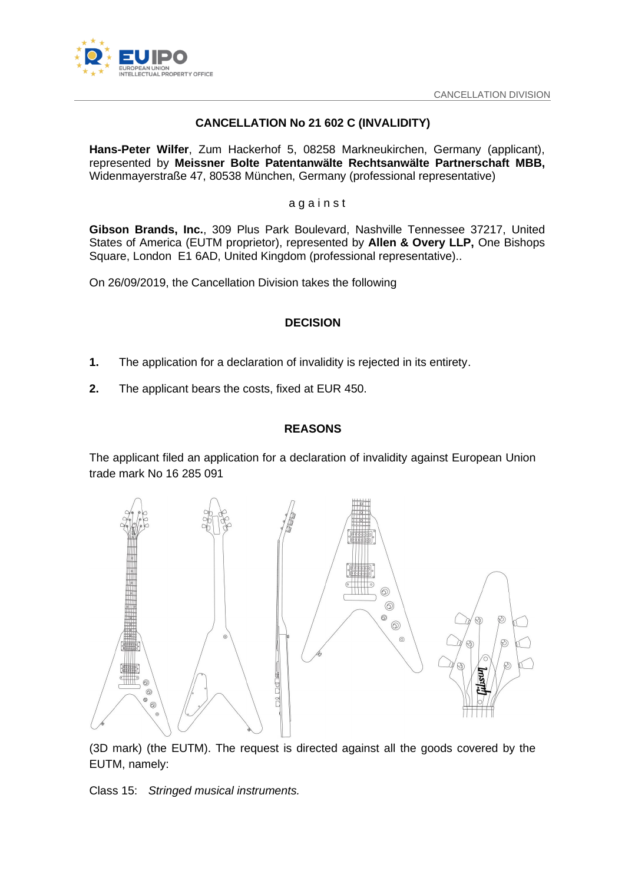

# **CANCELLATION No 21 602 C (INVALIDITY)**

**Hans-Peter Wilfer**, Zum Hackerhof 5, 08258 Markneukirchen, Germany (applicant), represented by **Meissner Bolte Patentanwälte Rechtsanwälte Partnerschaft MBB,**  Widenmayerstraße 47, 80538 München, Germany (professional representative)

#### a g a i n s t

**Gibson Brands, Inc.**, 309 Plus Park Boulevard, Nashville Tennessee 37217, United States of America (EUTM proprietor), represented by **Allen & Overy LLP,** One Bishops Square, London E1 6AD, United Kingdom (professional representative)..

On 26/09/2019, the Cancellation Division takes the following

## **DECISION**

- **1.** The application for a declaration of invalidity is rejected in its entirety.
- **2.** The applicant bears the costs, fixed at EUR 450.

## **REASONS**

The applicant filed an application for a declaration of invalidity against European Union trade mark No 16 285 091



(3D mark) (the EUTM). The request is directed against all the goods covered by the EUTM, namely:

Class 15: *Stringed musical instruments.*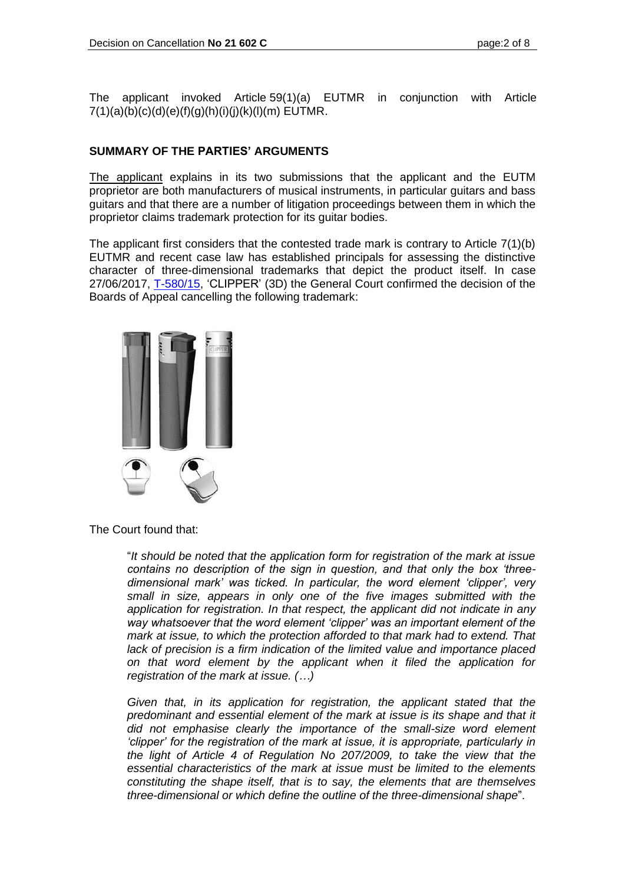The applicant invoked Article 59(1)(a) EUTMR in conjunction with Article  $7(1)(a)(b)(c)(d)(e)(f)(q)(h)(i)(i)(k)(l)(m)$  EUTMR.

## **SUMMARY OF THE PARTIES' ARGUMENTS**

The applicant explains in its two submissions that the applicant and the EUTM proprietor are both manufacturers of musical instruments, in particular guitars and bass guitars and that there are a number of litigation proceedings between them in which the proprietor claims trademark protection for its guitar bodies.

The applicant first considers that the contested trade mark is contrary to Article 7(1)(b) EUTMR and recent case law has established principals for assessing the distinctive character of three-dimensional trademarks that depict the product itself. In case 27/06/2017, [T-580/15,](http://curia.europa.eu/juris/liste.jsf?language=en&jur=C,T,F&num=T-580/15&td=ALL) 'CLIPPER' (3D) the General Court confirmed the decision of the Boards of Appeal cancelling the following trademark:



The Court found that:

"*It should be noted that the application form for registration of the mark at issue contains no description of the sign in question, and that only the box 'threedimensional mark' was ticked. In particular, the word element 'clipper', very small in size, appears in only one of the five images submitted with the application for registration. In that respect, the applicant did not indicate in any way whatsoever that the word element 'clipper' was an important element of the mark at issue, to which the protection afforded to that mark had to extend. That lack of precision is a firm indication of the limited value and importance placed on that word element by the applicant when it filed the application for registration of the mark at issue. (…)*

*Given that, in its application for registration, the applicant stated that the predominant and essential element of the mark at issue is its shape and that it did not emphasise clearly the importance of the small-size word element 'clipper' for the registration of the mark at issue, it is appropriate, particularly in the light of Article 4 of Regulation No 207/2009, to take the view that the essential characteristics of the mark at issue must be limited to the elements constituting the shape itself, that is to say, the elements that are themselves three-dimensional or which define the outline of the three-dimensional shape*".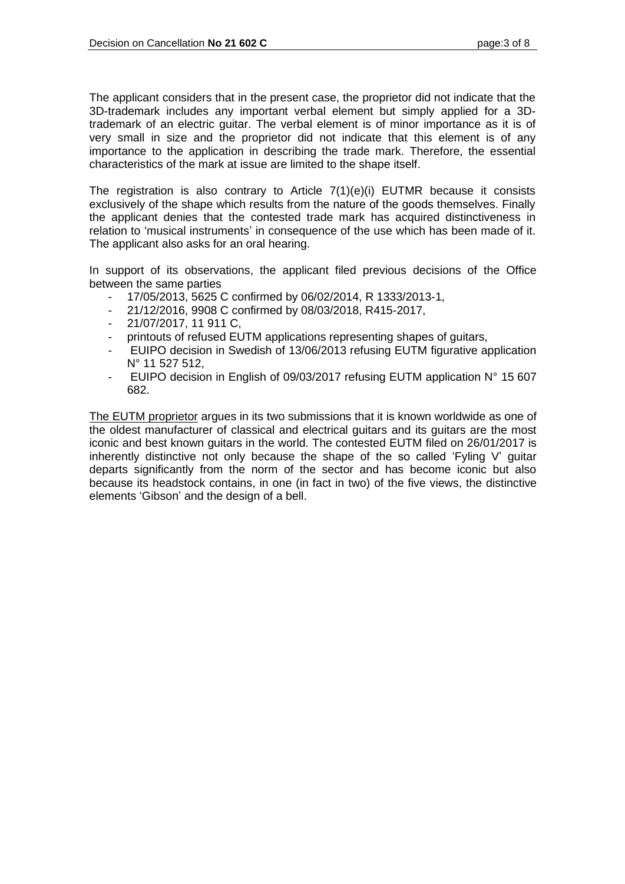The applicant considers that in the present case, the proprietor did not indicate that the 3D-trademark includes any important verbal element but simply applied for a 3Dtrademark of an electric guitar. The verbal element is of minor importance as it is of very small in size and the proprietor did not indicate that this element is of any importance to the application in describing the trade mark. Therefore, the essential characteristics of the mark at issue are limited to the shape itself.

The registration is also contrary to Article 7(1)(e)(i) EUTMR because it consists exclusively of the shape which results from the nature of the goods themselves. Finally the applicant denies that the contested trade mark has acquired distinctiveness in relation to 'musical instruments' in consequence of the use which has been made of it. The applicant also asks for an oral hearing.

In support of its observations, the applicant filed previous decisions of the Office between the same parties

- 17/05/2013, 5625 C confirmed by 06/02/2014, R 1333/2013-1,
- 21/12/2016, 9908 C confirmed by 08/03/2018, R415-2017,
- 21/07/2017, 11 911 C,
- printouts of refused EUTM applications representing shapes of guitars,
- EUIPO decision in Swedish of 13/06/2013 refusing EUTM figurative application N° 11 527 512,
- EUIPO decision in English of 09/03/2017 refusing EUTM application N° 15 607 682.

The EUTM proprietor argues in its two submissions that it is known worldwide as one of the oldest manufacturer of classical and electrical guitars and its guitars are the most iconic and best known guitars in the world. The contested EUTM filed on 26/01/2017 is inherently distinctive not only because the shape of the so called 'Fyling V' guitar departs significantly from the norm of the sector and has become iconic but also because its headstock contains, in one (in fact in two) of the five views, the distinctive elements 'Gibson' and the design of a bell.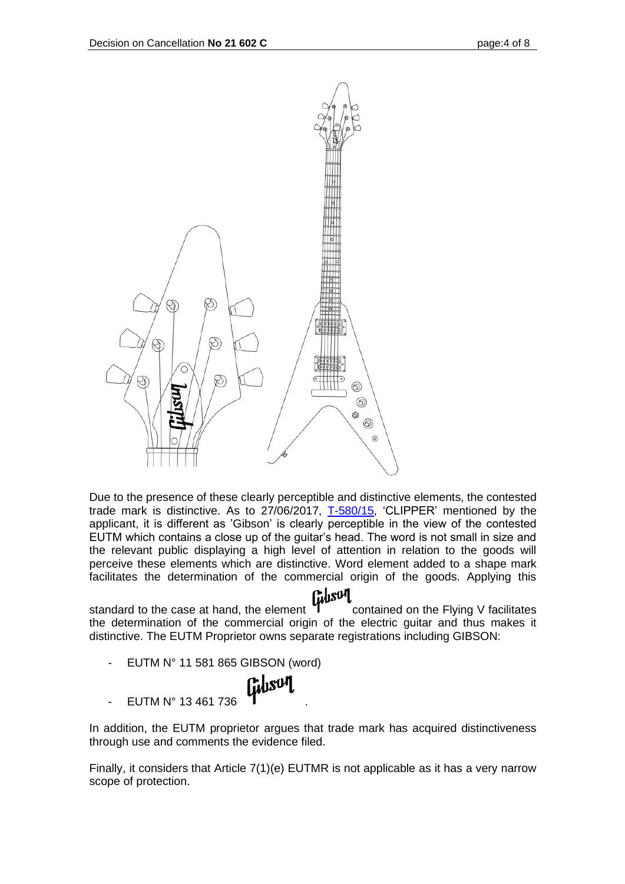

Due to the presence of these clearly perceptible and distinctive elements, the contested trade mark is distinctive. As to 27/06/2017, [T-580/15,](http://curia.europa.eu/juris/liste.jsf?language=en&jur=C,T,F&num=T-580/15&td=ALL) 'CLIPPER' mentioned by the applicant, it is different as 'Gibson' is clearly perceptible in the view of the contested EUTM which contains a close up of the guitar's head. The word is not small in size and the relevant public displaying a high level of attention in relation to the goods will perceive these elements which are distinctive. Word element added to a shape mark facilitates the determination of the commercial origin of the goods. Applying this

standard to the case at hand, the element contained on the Flying V facilitates the determination of the commercial origin of the electric guitar and thus makes it distinctive. The EUTM Proprietor owns separate registrations including GIBSON:

EUTM N° 11 581 865 GIBSON (word)



EUTM N° 13 461 736

In addition, the EUTM proprietor argues that trade mark has acquired distinctiveness through use and comments the evidence filed.

Finally, it considers that Article 7(1)(e) EUTMR is not applicable as it has a very narrow scope of protection.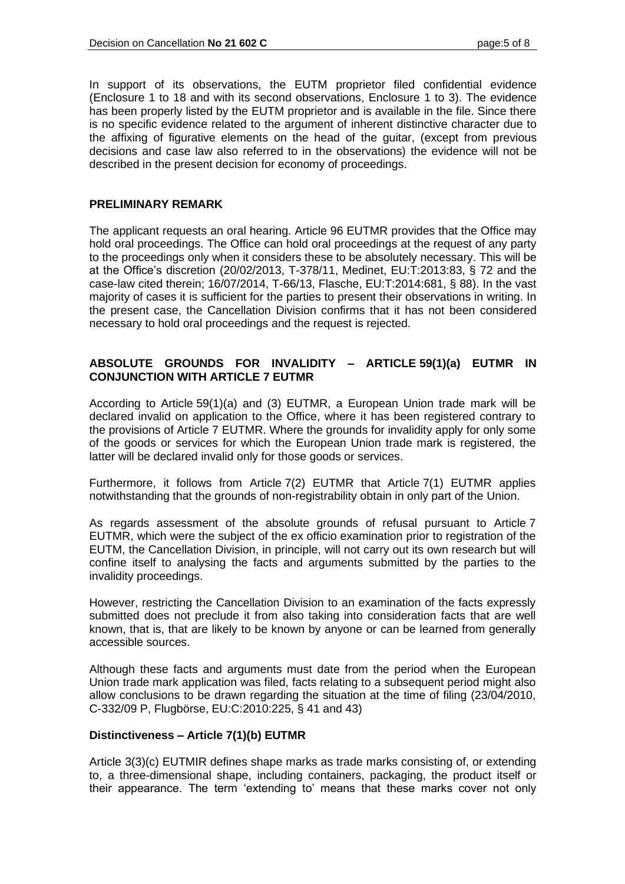In support of its observations, the EUTM proprietor filed confidential evidence (Enclosure 1 to 18 and with its second observations, Enclosure 1 to 3). The evidence has been properly listed by the EUTM proprietor and is available in the file. Since there is no specific evidence related to the argument of inherent distinctive character due to the affixing of figurative elements on the head of the guitar, (except from previous decisions and case law also referred to in the observations) the evidence will not be described in the present decision for economy of proceedings.

#### **PRELIMINARY REMARK**

The applicant requests an oral hearing. Article 96 EUTMR provides that the Office may hold oral proceedings. The Office can hold oral proceedings at the request of any party to the proceedings only when it considers these to be absolutely necessary. This will be at the Office's discretion (20/02/2013, T-378/11, Medinet, EU:T:2013:83, § 72 and the case-law cited therein; 16/07/2014, T-66/13, Flasche, EU:T:2014:681, § 88). In the vast majority of cases it is sufficient for the parties to present their observations in writing. In the present case, the Cancellation Division confirms that it has not been considered necessary to hold oral proceedings and the request is rejected.

## **ABSOLUTE GROUNDS FOR INVALIDITY – ARTICLE 59(1)(a) EUTMR IN CONJUNCTION WITH ARTICLE 7 EUTMR**

According to Article 59(1)(a) and (3) EUTMR, a European Union trade mark will be declared invalid on application to the Office, where it has been registered contrary to the provisions of Article 7 EUTMR. Where the grounds for invalidity apply for only some of the goods or services for which the European Union trade mark is registered, the latter will be declared invalid only for those goods or services.

Furthermore, it follows from Article 7(2) EUTMR that Article 7(1) EUTMR applies notwithstanding that the grounds of non-registrability obtain in only part of the Union.

As regards assessment of the absolute grounds of refusal pursuant to Article 7 EUTMR, which were the subject of the ex officio examination prior to registration of the EUTM, the Cancellation Division, in principle, will not carry out its own research but will confine itself to analysing the facts and arguments submitted by the parties to the invalidity proceedings.

However, restricting the Cancellation Division to an examination of the facts expressly submitted does not preclude it from also taking into consideration facts that are well known, that is, that are likely to be known by anyone or can be learned from generally accessible sources.

Although these facts and arguments must date from the period when the European Union trade mark application was filed, facts relating to a subsequent period might also allow conclusions to be drawn regarding the situation at the time of filing (23/04/2010, C-332/09 P, Flugbörse, EU:C:2010:225, § 41 and 43)

## **Distinctiveness – Article 7(1)(b) EUTMR**

Article 3(3)(c) EUTMIR defines shape marks as trade marks consisting of, or extending to, a three-dimensional shape, including containers, packaging, the product itself or their appearance. The term 'extending to' means that these marks cover not only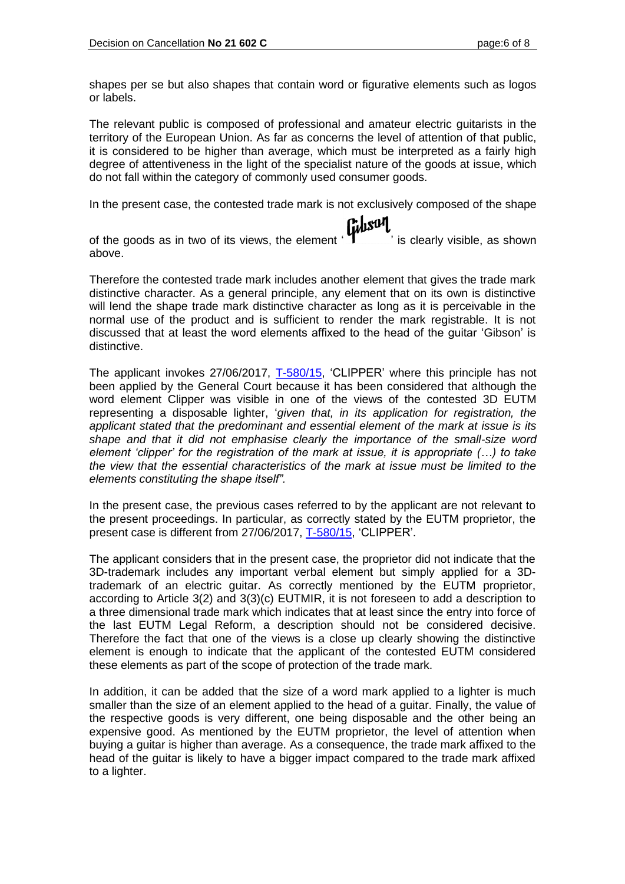shapes per se but also shapes that contain word or figurative elements such as logos or labels.

The relevant public is composed of professional and amateur electric guitarists in the territory of the European Union. As far as concerns the level of attention of that public, it is considered to be higher than average, which must be interpreted as a fairly high degree of attentiveness in the light of the specialist nature of the goods at issue, which do not fall within the category of commonly used consumer goods.

In the present case, the contested trade mark is not exclusively composed of the shape<br> **Figure 1.** 

of the goods as in two of its views, the element  $\mathbf{y}$  is clearly visible, as shown above.

Therefore the contested trade mark includes another element that gives the trade mark distinctive character. As a general principle, any element that on its own is distinctive will lend the shape trade mark distinctive character as long as it is perceivable in the normal use of the product and is sufficient to render the mark registrable. It is not discussed that at least the word elements affixed to the head of the guitar 'Gibson' is distinctive.

The applicant invokes 27/06/2017, [T-580/15,](http://curia.europa.eu/juris/liste.jsf?language=en&jur=C,T,F&num=T-580/15&td=ALL) 'CLIPPER' where this principle has not been applied by the General Court because it has been considered that although the word element Clipper was visible in one of the views of the contested 3D EUTM representing a disposable lighter, '*given that, in its application for registration, the*  applicant stated that the predominant and essential element of the mark at issue is its *shape and that it did not emphasise clearly the importance of the small-size word element 'clipper' for the registration of the mark at issue, it is appropriate (…) to take the view that the essential characteristics of the mark at issue must be limited to the elements constituting the shape itself".*

In the present case, the previous cases referred to by the applicant are not relevant to the present proceedings. In particular, as correctly stated by the EUTM proprietor, the present case is different from 27/06/2017, [T-580/15,](http://curia.europa.eu/juris/liste.jsf?language=en&jur=C,T,F&num=T-580/15&td=ALL) 'CLIPPER'.

The applicant considers that in the present case, the proprietor did not indicate that the 3D-trademark includes any important verbal element but simply applied for a 3Dtrademark of an electric guitar. As correctly mentioned by the EUTM proprietor, according to Article 3(2) and 3(3)(c) EUTMIR, it is not foreseen to add a description to a three dimensional trade mark which indicates that at least since the entry into force of the last EUTM Legal Reform, a description should not be considered decisive. Therefore the fact that one of the views is a close up clearly showing the distinctive element is enough to indicate that the applicant of the contested EUTM considered these elements as part of the scope of protection of the trade mark.

In addition, it can be added that the size of a word mark applied to a lighter is much smaller than the size of an element applied to the head of a guitar. Finally, the value of the respective goods is very different, one being disposable and the other being an expensive good. As mentioned by the EUTM proprietor, the level of attention when buying a guitar is higher than average. As a consequence, the trade mark affixed to the head of the guitar is likely to have a bigger impact compared to the trade mark affixed to a lighter.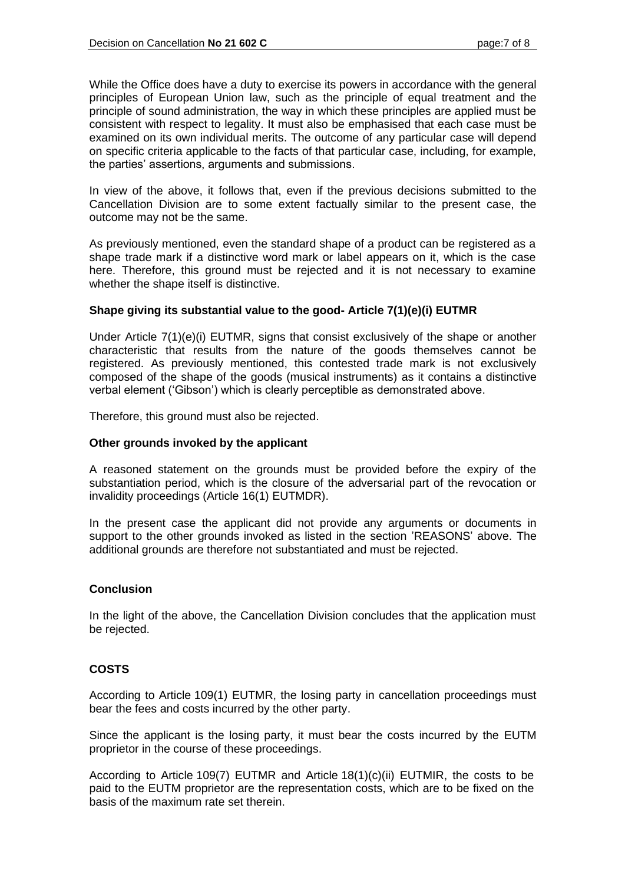While the Office does have a duty to exercise its powers in accordance with the general principles of European Union law, such as the principle of equal treatment and the principle of sound administration, the way in which these principles are applied must be consistent with respect to legality. It must also be emphasised that each case must be examined on its own individual merits. The outcome of any particular case will depend on specific criteria applicable to the facts of that particular case, including, for example, the parties' assertions, arguments and submissions.

In view of the above, it follows that, even if the previous decisions submitted to the Cancellation Division are to some extent factually similar to the present case, the outcome may not be the same.

As previously mentioned, even the standard shape of a product can be registered as a shape trade mark if a distinctive word mark or label appears on it, which is the case here. Therefore, this ground must be rejected and it is not necessary to examine whether the shape itself is distinctive.

## **Shape giving its substantial value to the good- Article 7(1)(e)(i) EUTMR**

Under Article 7(1)(e)(i) EUTMR, signs that consist exclusively of the shape or another characteristic that results from the nature of the goods themselves cannot be registered. As previously mentioned, this contested trade mark is not exclusively composed of the shape of the goods (musical instruments) as it contains a distinctive verbal element ('Gibson') which is clearly perceptible as demonstrated above.

Therefore, this ground must also be rejected.

## **Other grounds invoked by the applicant**

A reasoned statement on the grounds must be provided before the expiry of the substantiation period, which is the closure of the adversarial part of the revocation or invalidity proceedings (Article 16(1) EUTMDR).

In the present case the applicant did not provide any arguments or documents in support to the other grounds invoked as listed in the section 'REASONS' above. The additional grounds are therefore not substantiated and must be rejected.

## **Conclusion**

In the light of the above, the Cancellation Division concludes that the application must be rejected.

## **COSTS**

According to Article 109(1) EUTMR, the losing party in cancellation proceedings must bear the fees and costs incurred by the other party.

Since the applicant is the losing party, it must bear the costs incurred by the EUTM proprietor in the course of these proceedings.

According to Article 109(7) EUTMR and Article 18(1)(c)(ii) EUTMIR, the costs to be paid to the EUTM proprietor are the representation costs, which are to be fixed on the basis of the maximum rate set therein.